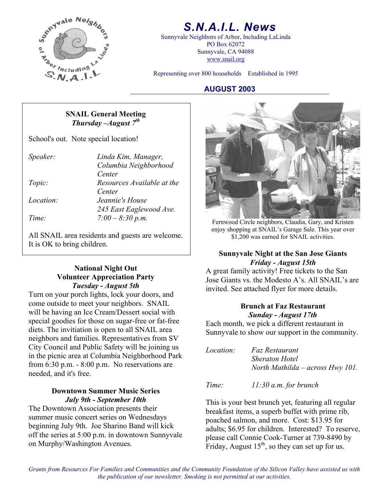

# *S.N.A.I.L. News*

Sunnyvale Neighbors of Arbor, Including LaLinda PO Box 62072 Sunnyvale, CA 94088 www.snail.org

Representing over 800 households Established in 1995

#### **AUGUST 2003**

#### **SNAIL General Meeting**  *Thursday –August 7th*

School's out. Note special location!

| Speaker:  | Linda Kim, Manager,        |
|-----------|----------------------------|
|           | Columbia Neighborhood      |
|           | Center                     |
| Topic:    | Resources Available at the |
|           | Center                     |
| Location: | Jeannie's House            |
|           | 245 East Eaglewood Ave.    |
| Time:     | $7:00 - 8:30 p.m.$         |

All SNAIL area residents and guests are welcome.  $\begin{bmatrix} 1 & 1,200 \end{bmatrix}$  was earned for SNAIL activities. It is OK to bring children.

# **Volunteer Appreciation Party**  *Tuesday - August 5th*

Turn on your porch lights, lock your doors, and come outside to meet your neighbors. SNAIL will be having an Ice Cream/Dessert social with special goodies for those on sugar-free or fat-free diets. The invitiation is open to all SNAIL area neighbors and families. Representatives from SV City Council and Public Safety will be joining us in the picnic area at Columbia Neighborhood Park from 6:30 p.m. - 8:00 p.m. No reservations are needed, and it's free.

The Downtown Association presents their summer music concert series on Wednesdays beginning July 9th. Joe Sharino Band will kick off the series at 5:00 p.m. in downtown Sunnyvale on Murphy/Washington Avenues.



*Time: 7:00 – 8:30 p.m.* Fernwood Circle neighbors, Claudia, Gary, and Kristen enjoy shopping at SNAIL's Garage Sale. This year over

# **Sunnyvale Night at the San Jose Giants Friday - August 15th**<br>A great family activity! Free tickets to the San

Jose Giants vs. the Modesto A's. All SNAIL's are invited. See attached flyer for more details.

### **Brunch at Faz Restaurant**  *Sunday - August 17th*

Each month, we pick a different restaurant in Sunnyvale to show our support in the community.

*Location: Faz Restaurant Sheraton Hotel North Mathilda – across Hwy 101.* 

*Time: 11:30 a.m. for brunch* **Downtown Summer Music Series** 

*July 9th - September 10th* This is your best brunch yet, featuring all regular breakfast items, a superb buffet with prime rib, poached salmon, and more. Cost: \$13.95 for adults; \$6.95 for children. Interested? To reserve, please call Connie Cook-Turner at 739-8490 by Friday, August  $15<sup>th</sup>$ , so they can set up for us.

*Grants from Resources For Families and Communities and the Community Foundation of the Silicon Valley have assisted us with the publication of our newsletter. Smoking is not permitted at our activities.*